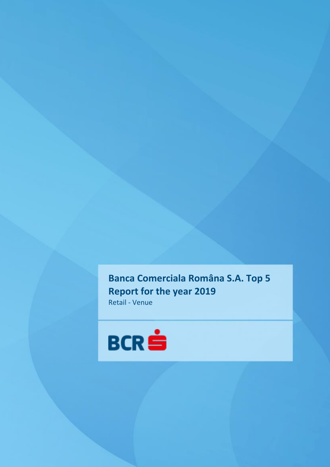**Banca Comerciala Româna S.A. Top 5 Report for the year 2019** Retail - Venue

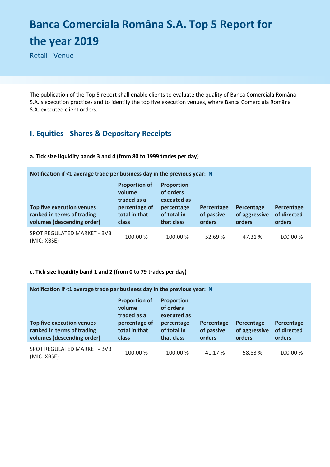# **Banca Comerciala Româna S.A. Top 5 Report for the year 2019**

Retail - Venue

The publication of the Top 5 report shall enable clients to evaluate the quality of Banca Comerciala Româna S.A.'s execution practices and to identify the top five execution venues, where Banca Comerciala Româna S.A. executed client orders.

## **I. Equities - Shares & Depositary Receipts**

#### **a. Tick size liquidity bands 3 and 4 (from 80 to 1999 trades per day)**

| Notification if <1 average trade per business day in the previous year: N                    |                                                                                                 |                                                                                          |                                    |                                       |                                     |  |
|----------------------------------------------------------------------------------------------|-------------------------------------------------------------------------------------------------|------------------------------------------------------------------------------------------|------------------------------------|---------------------------------------|-------------------------------------|--|
| <b>Top five execution venues</b><br>ranked in terms of trading<br>volumes (descending order) | <b>Proportion of</b><br>volume<br>traded as a<br>percentage of<br>total in that<br><b>class</b> | <b>Proportion</b><br>of orders<br>executed as<br>percentage<br>of total in<br>that class | Percentage<br>of passive<br>orders | Percentage<br>of aggressive<br>orders | Percentage<br>of directed<br>orders |  |
| SPOT REGULATED MARKET - BVB<br>(MIC: XBSE)                                                   | 100.00 %                                                                                        | 100.00 %                                                                                 | 52.69%                             | 47.31 %                               | 100.00 %                            |  |

#### **c. Tick size liquidity band 1 and 2 (from 0 to 79 trades per day)**

| Notification if <1 average trade per business day in the previous year: N                    |                                                                                                 |                                                                                          |                                    |                                       |                                     |  |
|----------------------------------------------------------------------------------------------|-------------------------------------------------------------------------------------------------|------------------------------------------------------------------------------------------|------------------------------------|---------------------------------------|-------------------------------------|--|
| <b>Top five execution venues</b><br>ranked in terms of trading<br>volumes (descending order) | <b>Proportion of</b><br>volume<br>traded as a<br>percentage of<br>total in that<br><b>class</b> | <b>Proportion</b><br>of orders<br>executed as<br>percentage<br>of total in<br>that class | Percentage<br>of passive<br>orders | Percentage<br>of aggressive<br>orders | Percentage<br>of directed<br>orders |  |
| SPOT REGULATED MARKET - BVB<br>(MIC: XBSE)                                                   | 100.00 %                                                                                        | 100.00 %                                                                                 | 41.17 %                            | 58.83%                                | 100.00 %                            |  |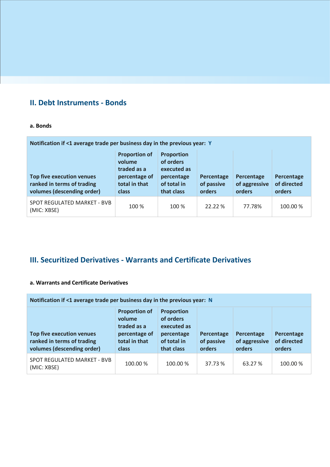## **II. Debt Instruments - Bonds**

#### **a. Bonds**

| Notification if <1 average trade per business day in the previous year: Y                    |                                                                                          |                                                                                   |                                    |                                       |                                     |
|----------------------------------------------------------------------------------------------|------------------------------------------------------------------------------------------|-----------------------------------------------------------------------------------|------------------------------------|---------------------------------------|-------------------------------------|
| <b>Top five execution venues</b><br>ranked in terms of trading<br>volumes (descending order) | <b>Proportion of</b><br>volume<br>traded as a<br>percentage of<br>total in that<br>class | Proportion<br>of orders<br>executed as<br>percentage<br>of total in<br>that class | Percentage<br>of passive<br>orders | Percentage<br>of aggressive<br>orders | Percentage<br>of directed<br>orders |
| SPOT REGULATED MARKET - BVB<br>(MIC: XBSE)                                                   | 100 %                                                                                    | 100 %                                                                             | 22.22 %                            | 77.78%                                | 100.00 %                            |

## **III. Securitized Derivatives - Warrants and Certificate Derivatives**

#### **a. Warrants and Certificate Derivatives**

| Notification if $\leq 1$ average trade per business day in the previous year: N              |                                                                                                 |                                                                                          |                                    |                                       |                                     |  |
|----------------------------------------------------------------------------------------------|-------------------------------------------------------------------------------------------------|------------------------------------------------------------------------------------------|------------------------------------|---------------------------------------|-------------------------------------|--|
| <b>Top five execution venues</b><br>ranked in terms of trading<br>volumes (descending order) | <b>Proportion of</b><br>volume<br>traded as a<br>percentage of<br>total in that<br><b>class</b> | <b>Proportion</b><br>of orders<br>executed as<br>percentage<br>of total in<br>that class | Percentage<br>of passive<br>orders | Percentage<br>of aggressive<br>orders | Percentage<br>of directed<br>orders |  |
| SPOT REGULATED MARKET - BVB<br>(MIC: XBSE)                                                   | 100.00 %                                                                                        | 100.00 %                                                                                 | 37.73 %                            | 63.27 %                               | 100.00 %                            |  |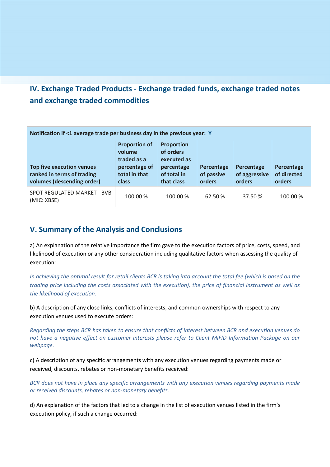## **IV. Exchange Traded Products - Exchange traded funds, exchange traded notes and exchange traded commodities**

| Notification if <1 average trade per business day in the previous year: Y                    |                                                                                                 |                                                                                          |                                    |                                       |                                     |
|----------------------------------------------------------------------------------------------|-------------------------------------------------------------------------------------------------|------------------------------------------------------------------------------------------|------------------------------------|---------------------------------------|-------------------------------------|
| <b>Top five execution venues</b><br>ranked in terms of trading<br>volumes (descending order) | <b>Proportion of</b><br>volume<br>traded as a<br>percentage of<br>total in that<br><b>class</b> | <b>Proportion</b><br>of orders<br>executed as<br>percentage<br>of total in<br>that class | Percentage<br>of passive<br>orders | Percentage<br>of aggressive<br>orders | Percentage<br>of directed<br>orders |
| SPOT REGULATED MARKET - BVB<br>(MIC: XBSE)                                                   | 100.00 %                                                                                        | 100.00 %                                                                                 | 62.50 %                            | 37.50 %                               | 100.00 %                            |

### **V. Summary of the Analysis and Conclusions**

a) An explanation of the relative importance the firm gave to the execution factors of price, costs, speed, and likelihood of execution or any other consideration including qualitative factors when assessing the quality of execution:

*In achieving the optimal result for retail clients BCR is taking into account the total fee (which is based on the trading price including the costs associated with the execution), the price of financial instrument as well as the likelihood of execution.*

b) A description of any close links, conflicts of interests, and common ownerships with respect to any execution venues used to execute orders:

*Regarding the steps BCR has taken to ensure that conflicts of interest between BCR and execution venues do not have a negative effect on customer interests please refer to Client MiFID Information Package on our webpage.* 

c) A description of any specific arrangements with any execution venues regarding payments made or received, discounts, rebates or non-monetary benefits received:

*BCR does not have in place any specific arrangements with any execution venues regarding payments made or received discounts, rebates or non-monetary benefits.* 

d) An explanation of the factors that led to a change in the list of execution venues listed in the firm's execution policy, if such a change occurred: